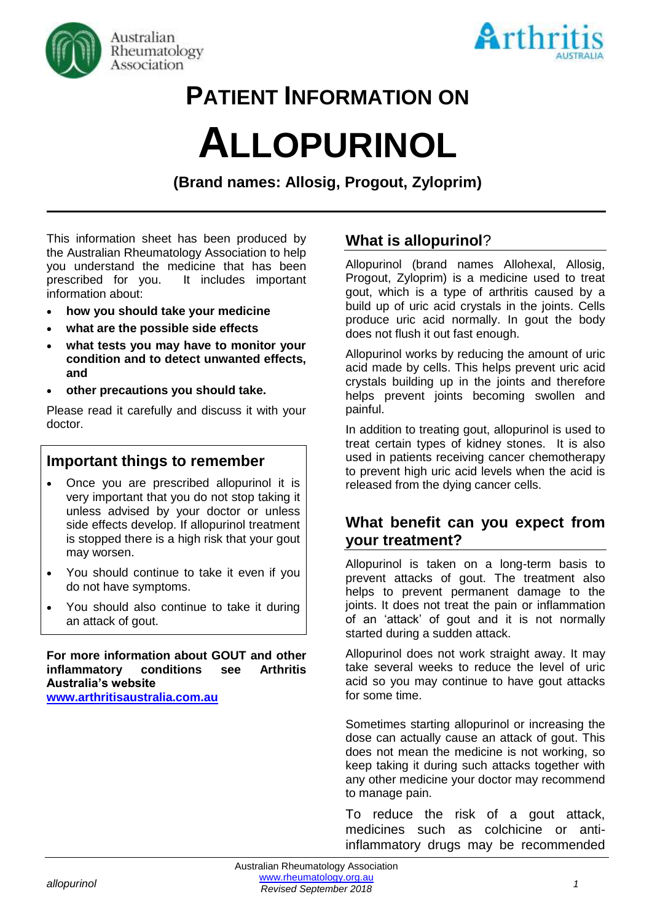



# **PATIENT INFORMATION ON**

# **ALLOPURINOL**

**(Brand names: Allosig, Progout, Zyloprim)**

This information sheet has been produced by the Australian Rheumatology Association to help you understand the medicine that has been prescribed for you. It includes important information about:

- **how you should take your medicine**
- **what are the possible side effects**
- **what tests you may have to monitor your condition and to detect unwanted effects, and**
- **other precautions you should take.**

Please read it carefully and discuss it with your doctor.

## **Important things to remember**

- Once you are prescribed allopurinol it is very important that you do not stop taking it unless advised by your doctor or unless side effects develop. If allopurinol treatment is stopped there is a high risk that your gout may worsen.
- You should continue to take it even if you do not have symptoms.
- You should also continue to take it during an attack of gout.

**For more information about GOUT and other inflammatory conditions see Arthritis Australia's website [www.arthritisaustralia.com.au](http://www.arthritisaustralia.com.au/index.php/arthritis-information/information-sheets.html)**

# **What is allopurinol**?

Allopurinol (brand names Allohexal, Allosig, Progout, Zyloprim) is a medicine used to treat gout, which is a type of arthritis caused by a build up of uric acid crystals in the joints. Cells produce uric acid normally. In gout the body does not flush it out fast enough.

Allopurinol works by reducing the amount of uric acid made by cells. This helps prevent uric acid crystals building up in the joints and therefore helps prevent joints becoming swollen and painful.

In addition to treating gout, allopurinol is used to treat certain types of kidney stones. It is also used in patients receiving cancer chemotherapy to prevent high uric acid levels when the acid is released from the dying cancer cells.

# **What benefit can you expect from your treatment?**

Allopurinol is taken on a long-term basis to prevent attacks of gout. The treatment also helps to prevent permanent damage to the joints. It does not treat the pain or inflammation of an 'attack' of gout and it is not normally started during a sudden attack.

Allopurinol does not work straight away. It may take several weeks to reduce the level of uric acid so you may continue to have gout attacks for some time.

Sometimes starting allopurinol or increasing the dose can actually cause an attack of gout. This does not mean the medicine is not working, so keep taking it during such attacks together with any other medicine your doctor may recommend to manage pain.

To reduce the risk of a gout attack, medicines such as colchicine or antiinflammatory drugs may be recommended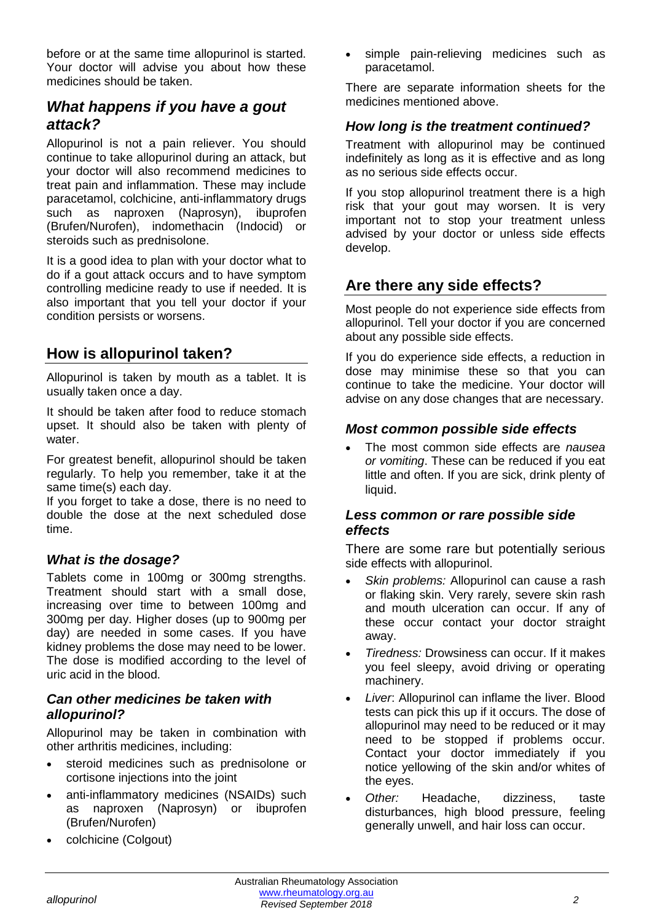before or at the same time allopurinol is started. Your doctor will advise you about how these medicines should be taken.

# *What happens if you have a gout attack?*

Allopurinol is not a pain reliever. You should continue to take allopurinol during an attack, but your doctor will also recommend medicines to treat pain and inflammation. These may include paracetamol, colchicine, anti-inflammatory drugs such as naproxen (Naprosyn), ibuprofen (Brufen/Nurofen), indomethacin (Indocid) or steroids such as prednisolone.

It is a good idea to plan with your doctor what to do if a gout attack occurs and to have symptom controlling medicine ready to use if needed. It is also important that you tell your doctor if your condition persists or worsens.

# **How is allopurinol taken?**

Allopurinol is taken by mouth as a tablet. It is usually taken once a day.

It should be taken after food to reduce stomach upset. It should also be taken with plenty of water.

For greatest benefit, allopurinol should be taken regularly. To help you remember, take it at the same time(s) each day.

If you forget to take a dose, there is no need to double the dose at the next scheduled dose time.

#### *What is the dosage?*

Tablets come in 100mg or 300mg strengths. Treatment should start with a small dose, increasing over time to between 100mg and 300mg per day. Higher doses (up to 900mg per day) are needed in some cases. If you have kidney problems the dose may need to be lower. The dose is modified according to the level of uric acid in the blood.

#### *Can other medicines be taken with allopurinol?*

Allopurinol may be taken in combination with other arthritis medicines, including:

- steroid medicines such as prednisolone or cortisone injections into the joint
- anti-inflammatory medicines (NSAIDs) such as naproxen (Naprosyn) or ibuprofen (Brufen/Nurofen)
- colchicine (Colgout)

simple pain-relieving medicines such as paracetamol.

There are separate information sheets for the medicines mentioned above.

#### *How long is the treatment continued?*

Treatment with allopurinol may be continued indefinitely as long as it is effective and as long as no serious side effects occur.

If you stop allopurinol treatment there is a high risk that your gout may worsen. It is very important not to stop your treatment unless advised by your doctor or unless side effects develop.

# **Are there any side effects?**

Most people do not experience side effects from allopurinol. Tell your doctor if you are concerned about any possible side effects.

If you do experience side effects, a reduction in dose may minimise these so that you can continue to take the medicine. Your doctor will advise on any dose changes that are necessary.

#### *Most common possible side effects*

• The most common side effects are *nausea or vomiting*. These can be reduced if you eat little and often. If you are sick, drink plenty of liquid.

#### *Less common or rare possible side effects*

There are some rare but potentially serious side effects with allopurinol.

- *Skin problems:* Allopurinol can cause a rash or flaking skin. Very rarely, severe skin rash and mouth ulceration can occur. If any of these occur contact your doctor straight away.
- *Tiredness:* Drowsiness can occur. If it makes you feel sleepy, avoid driving or operating machinery.
- Liver: Allopurinol can inflame the liver. Blood tests can pick this up if it occurs. The dose of allopurinol may need to be reduced or it may need to be stopped if problems occur. Contact your doctor immediately if you notice yellowing of the skin and/or whites of the eyes.
- *Other:* Headache, dizziness, taste disturbances, high blood pressure, feeling generally unwell, and hair loss can occur.